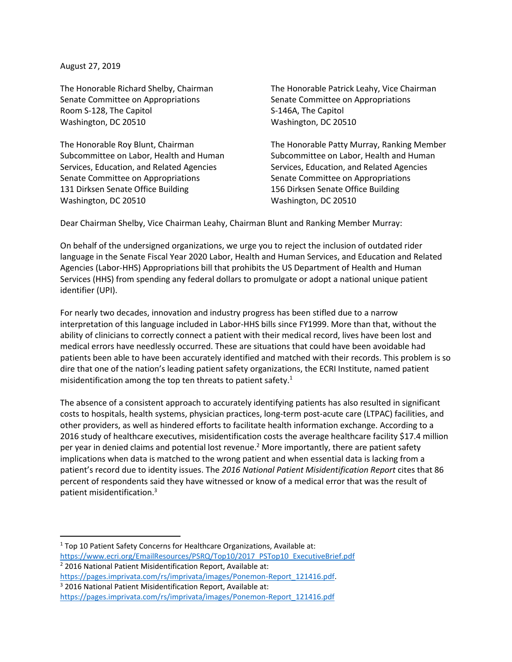August 27, 2019

The Honorable Richard Shelby, Chairman Senate Committee on Appropriations Room S-128, The Capitol Washington, DC 20510

The Honorable Roy Blunt, Chairman Subcommittee on Labor, Health and Human Services, Education, and Related Agencies Senate Committee on Appropriations 131 Dirksen Senate Office Building Washington, DC 20510

The Honorable Patrick Leahy, Vice Chairman Senate Committee on Appropriations S-146A, The Capitol Washington, DC 20510

The Honorable Patty Murray, Ranking Member Subcommittee on Labor, Health and Human Services, Education, and Related Agencies Senate Committee on Appropriations 156 Dirksen Senate Office Building Washington, DC 20510

Dear Chairman Shelby, Vice Chairman Leahy, Chairman Blunt and Ranking Member Murray:

On behalf of the undersigned organizations, we urge you to reject the inclusion of outdated rider language in the Senate Fiscal Year 2020 Labor, Health and Human Services, and Education and Related Agencies (Labor-HHS) Appropriations bill that prohibits the US Department of Health and Human Services (HHS) from spending any federal dollars to promulgate or adopt a national unique patient identifier (UPI).

For nearly two decades, innovation and industry progress has been stifled due to a narrow interpretation of this language included in Labor-HHS bills since FY1999. More than that, without the ability of clinicians to correctly connect a patient with their medical record, lives have been lost and medical errors have needlessly occurred. These are situations that could have been avoidable had patients been able to have been accurately identified and matched with their records. This problem is so dire that one of the nation's leading patient safety organizations, the ECRI Institute, named patient misidentification among the top ten threats to patient safety.<sup>1</sup>

The absence of a consistent approach to accurately identifying patients has also resulted in significant costs to hospitals, health systems, physician practices, long-term post-acute care (LTPAC) facilities, and other providers, as well as hindered efforts to facilitate health information exchange. According to a 2016 study of healthcare executives, misidentification costs the average healthcare facility \$17.4 million per year in denied claims and potential lost revenue.<sup>2</sup> More importantly, there are patient safety implications when data is matched to the wrong patient and when essential data is lacking from a patient's record due to identity issues. The *2016 National Patient Misidentification Report* cites that 86 percent of respondents said they have witnessed or know of a medical error that was the result of patient misidentification.<sup>3</sup>

l <sup>1</sup> Top 10 Patient Safety Concerns for Healthcare Organizations, Available at: [https://www.ecri.org/EmailResources/PSRQ/Top10/2017\\_PSTop10\\_ExecutiveBrief.pdf](https://www.ecri.org/EmailResources/PSRQ/Top10/2017_PSTop10_ExecutiveBrief.pdf)

<sup>&</sup>lt;sup>2</sup> 2016 National Patient Misidentification Report, Available at:

[https://pages.imprivata.com/rs/imprivata/images/Ponemon-Report\\_121416.pdf.](https://pages.imprivata.com/rs/imprivata/images/Ponemon-Report_121416.pdf)

<sup>&</sup>lt;sup>3</sup> 2016 National Patient Misidentification Report, Available at:

[https://pages.imprivata.com/rs/imprivata/images/Ponemon-Report\\_121416.pdf](https://pages.imprivata.com/rs/imprivata/images/Ponemon-Report_121416.pdf)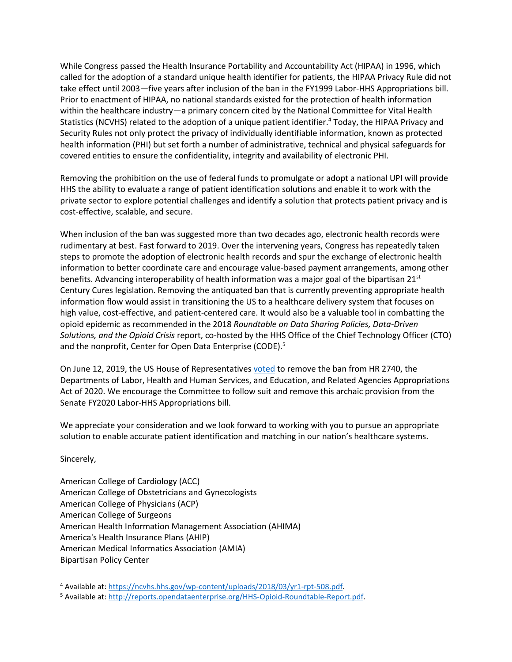While Congress passed the Health Insurance Portability and Accountability Act (HIPAA) in 1996, which called for the adoption of a standard unique health identifier for patients, the HIPAA Privacy Rule did not take effect until 2003—five years after inclusion of the ban in the FY1999 Labor-HHS Appropriations bill. Prior to enactment of HIPAA, no national standards existed for the protection of health information within the healthcare industry—a primary concern cited by the National Committee for Vital Health Statistics (NCVHS) related to the adoption of a unique patient identifier. <sup>4</sup> Today, the HIPAA Privacy and Security Rules not only protect the privacy of individually identifiable information, known as protected health information (PHI) but set forth a number of administrative, technical and physical safeguards for covered entities to ensure the confidentiality, integrity and availability of electronic PHI.

Removing the prohibition on the use of federal funds to promulgate or adopt a national UPI will provide HHS the ability to evaluate a range of patient identification solutions and enable it to work with the private sector to explore potential challenges and identify a solution that protects patient privacy and is cost-effective, scalable, and secure.

When inclusion of the ban was suggested more than two decades ago, electronic health records were rudimentary at best. Fast forward to 2019. Over the intervening years, Congress has repeatedly taken steps to promote the adoption of electronic health records and spur the exchange of electronic health information to better coordinate care and encourage value-based payment arrangements, among other benefits. Advancing interoperability of health information was a major goal of the bipartisan 21<sup>st</sup> Century Cures legislation. Removing the antiquated ban that is currently preventing appropriate health information flow would assist in transitioning the US to a healthcare delivery system that focuses on high value, cost-effective, and patient-centered care. It would also be a valuable tool in combatting the opioid epidemic as recommended in the 2018 *Roundtable on Data Sharing Policies, Data-Driven Solutions, and the Opioid Crisis* report, co-hosted by the HHS Office of the Chief Technology Officer (CTO) and the nonprofit, Center for Open Data Enterprise (CODE).<sup>5</sup>

On June 12, 2019, the US House of Representatives [voted](http://clerk.house.gov/evs/2019/roll270.xml) to remove the ban from HR 2740, the Departments of Labor, Health and Human Services, and Education, and Related Agencies Appropriations Act of 2020. We encourage the Committee to follow suit and remove this archaic provision from the Senate FY2020 Labor-HHS Appropriations bill.

We appreciate your consideration and we look forward to working with you to pursue an appropriate solution to enable accurate patient identification and matching in our nation's healthcare systems.

Sincerely,

 $\overline{\phantom{a}}$ 

American College of Cardiology (ACC) American College of Obstetricians and Gynecologists American College of Physicians (ACP) American College of Surgeons American Health Information Management Association (AHIMA) America's Health Insurance Plans (AHIP) American Medical Informatics Association (AMIA) Bipartisan Policy Center

<sup>4</sup> Available at: [https://ncvhs.hhs.gov/wp-content/uploads/2018/03/yr1-rpt-508.pdf.](https://ncvhs.hhs.gov/wp-content/uploads/2018/03/yr1-rpt-508.pdf)

<sup>5</sup> Available at: [http://reports.opendataenterprise.org/HHS-Opioid-Roundtable-Report.pdf.](http://reports.opendataenterprise.org/HHS-Opioid-Roundtable-Report.pdf)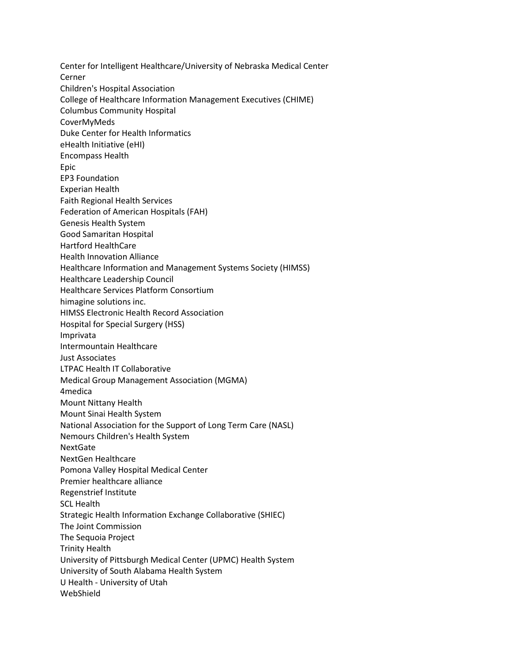Center for Intelligent Healthcare/University of Nebraska Medical Center Cerner Children's Hospital Association College of Healthcare Information Management Executives (CHIME) Columbus Community Hospital CoverMyMeds Duke Center for Health Informatics eHealth Initiative (eHI) Encompass Health Epic EP3 Foundation Experian Health Faith Regional Health Services Federation of American Hospitals (FAH) Genesis Health System Good Samaritan Hospital Hartford HealthCare Health Innovation Alliance Healthcare Information and Management Systems Society (HIMSS) Healthcare Leadership Council Healthcare Services Platform Consortium himagine solutions inc. HIMSS Electronic Health Record Association Hospital for Special Surgery (HSS) Imprivata Intermountain Healthcare Just Associates LTPAC Health IT Collaborative Medical Group Management Association (MGMA) 4medica Mount Nittany Health Mount Sinai Health System National Association for the Support of Long Term Care (NASL) Nemours Children's Health System NextGate NextGen Healthcare Pomona Valley Hospital Medical Center Premier healthcare alliance Regenstrief Institute SCL Health Strategic Health Information Exchange Collaborative (SHIEC) The Joint Commission The Sequoia Project Trinity Health University of Pittsburgh Medical Center (UPMC) Health System University of South Alabama Health System U Health - University of Utah WebShield